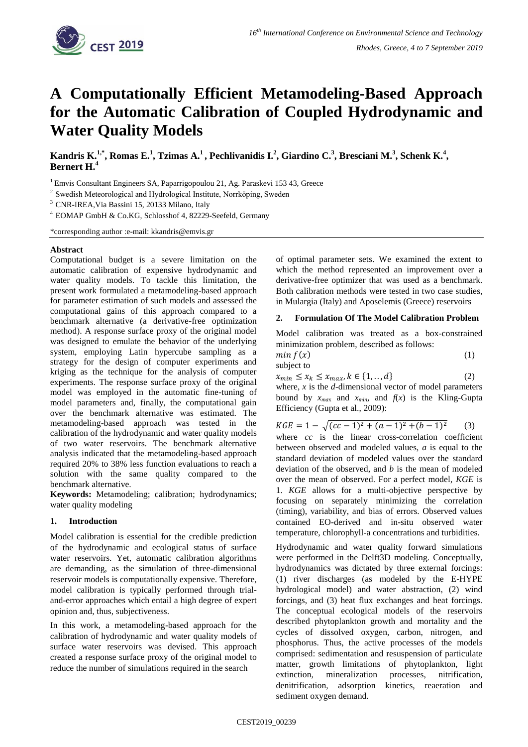

# **A Computationally Efficient Metamodeling-Based Approach for the Automatic Calibration of Coupled Hydrodynamic and Water Quality Models**

Kandris K.<sup>1,\*</sup>, Romas E.<sup>1</sup>, Tzimas A.<sup>1</sup>, Pechlivanidis I.<sup>2</sup>, Giardino C.<sup>3</sup>, Bresciani M.<sup>3</sup>, Schenk K.<sup>4</sup>, **Bernert H.<sup>4</sup>**

<sup>1</sup> Emvis Consultant Engineers SA, Paparrigopoulou 21, Ag. Paraskevi 153 43, Greece

<sup>2</sup> Swedish Meteorological and Hydrological Institute, Norrköping, Sweden

<sup>3</sup> CNR-IREA,Via Bassini 15, 20133 Milano, Italy

<sup>4</sup> EOMAP GmbH & Co.KG, Schlosshof 4, 82229-Seefeld, Germany

\*corresponding author :e-mail: kkandris@emvis.gr

## **Abstract**

Computational budget is a severe limitation on the automatic calibration of expensive hydrodynamic and water quality models. To tackle this limitation, the present work formulated a metamodeling-based approach for parameter estimation of such models and assessed the computational gains of this approach compared to a benchmark alternative (a derivative-free optimization method). A response surface proxy of the original model was designed to emulate the behavior of the underlying system, employing Latin hypercube sampling as a strategy for the design of computer experiments and kriging as the technique for the analysis of computer experiments. The response surface proxy of the original model was employed in the automatic fine-tuning of model parameters and, finally, the computational gain over the benchmark alternative was estimated. The metamodeling-based approach was tested in the calibration of the hydrodynamic and water quality models of two water reservoirs. The benchmark alternative analysis indicated that the metamodeling-based approach required 20% to 38% less function evaluations to reach a solution with the same quality compared to the benchmark alternative.

**Keywords:** Metamodeling; calibration; hydrodynamics; water quality modeling

## **1. Introduction**

Model calibration is essential for the credible prediction of the hydrodynamic and ecological status of surface water reservoirs. Yet, automatic calibration algorithms are demanding, as the simulation of three-dimensional reservoir models is computationally expensive. Therefore, model calibration is typically performed through trialand-error approaches which entail a high degree of expert opinion and, thus, subjectiveness.

In this work, a metamodeling-based approach for the calibration of hydrodynamic and water quality models of surface water reservoirs was devised. This approach created a response surface proxy of the original model to reduce the number of simulations required in the search

of optimal parameter sets. We examined the extent to which the method represented an improvement over a derivative-free optimizer that was used as a benchmark. Both calibration methods were tested in two case studies, in Mulargia (Italy) and Aposelemis (Greece) reservoirs

## **2. Formulation Of The Model Calibration Problem**

Model calibration was treated as a box-constrained minimization problem, described as follows:

| min f(x)   |  |
|------------|--|
| subject to |  |

 $x_{min} \le x_k \le x_{max}, k \in \{1, \ldots, d\}$  (2) where, *x* is the *d*-dimensional vector of model parameters bound by  $x_{max}$  and  $x_{min}$ , and  $f(x)$  is the Kling-Gupta

Efficiency (Gupta et al., 2009):  $KGE = 1 - \sqrt{(cc-1)^2 + (a-1)^2 + (b-1)}$  (3) where *cc* is the linear cross-correlation coefficient between observed and modeled values, *a* is equal to the standard deviation of modeled values over the standard deviation of the observed, and *b* is the mean of modeled over the mean of observed. For a perfect model, *KGE* is 1. *KGE* allows for a multi-objective perspective by

focusing on separately minimizing the correlation (timing), variability, and bias of errors. Observed values contained EO-derived and in-situ observed water temperature, chlorophyll-a concentrations and turbidities.

Hydrodynamic and water quality forward simulations were performed in the Delft3D modeling. Conceptually, hydrodynamics was dictated by three external forcings: (1) river discharges (as modeled by the E-HYPE hydrological model) and water abstraction, (2) wind forcings, and (3) heat flux exchanges and heat forcings. The conceptual ecological models of the reservoirs described phytoplankton growth and mortality and the cycles of dissolved oxygen, carbon, nitrogen, and phosphorus. Thus, the active processes of the models comprised: sedimentation and resuspension of particulate matter, growth limitations of phytoplankton, light extinction, mineralization processes, nitrification, denitrification, adsorption kinetics, reaeration and sediment oxygen demand.